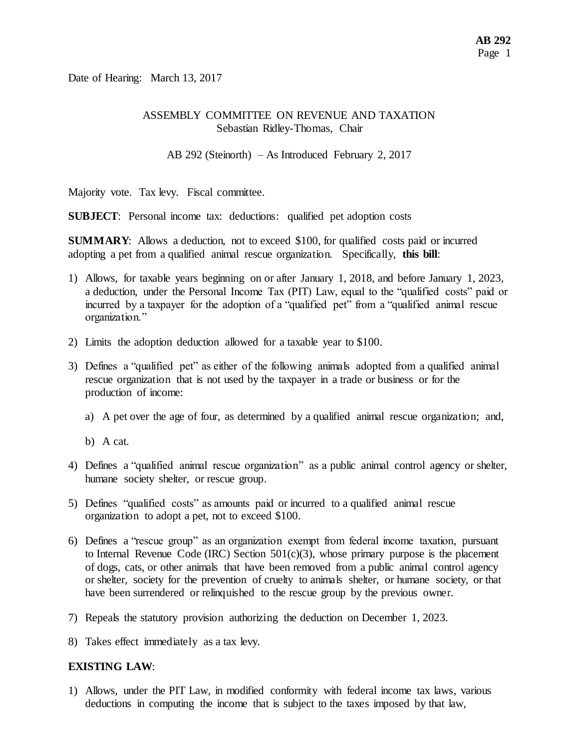Date of Hearing: March 13, 2017

#### ASSEMBLY COMMITTEE ON REVENUE AND TAXATION Sebastian Ridley-Thomas, Chair

AB 292 (Steinorth) – As Introduced February 2, 2017

Majority vote. Tax levy. Fiscal committee.

**SUBJECT**: Personal income tax: deductions: qualified pet adoption costs

**SUMMARY:** Allows a deduction, not to exceed \$100, for qualified costs paid or incurred adopting a pet from a qualified animal rescue organization. Specifically, **this bill**:

- 1) Allows, for taxable years beginning on or after January 1, 2018, and before January 1, 2023, a deduction, under the Personal Income Tax (PIT) Law, equal to the "qualified costs" paid or incurred by a taxpayer for the adoption of a "qualified pet" from a "qualified animal rescue organization."
- 2) Limits the adoption deduction allowed for a taxable year to \$100.
- 3) Defines a "qualified pet" as either of the following animals adopted from a qualified animal rescue organization that is not used by the taxpayer in a trade or business or for the production of income:
	- a) A pet over the age of four, as determined by a qualified animal rescue organization; and,
	- b) A cat.
- 4) Defines a "qualified animal rescue organization" as a public animal control agency or shelter, humane society shelter, or rescue group.
- 5) Defines "qualified costs" as amounts paid or incurred to a qualified animal rescue organization to adopt a pet, not to exceed \$100.
- 6) Defines a "rescue group" as an organization exempt from federal income taxation, pursuant to Internal Revenue Code (IRC) Section  $501(c)(3)$ , whose primary purpose is the placement of dogs, cats, or other animals that have been removed from a public animal control agency or shelter, society for the prevention of cruelty to animals shelter, or humane society, or that have been surrendered or relinquished to the rescue group by the previous owner.
- 7) Repeals the statutory provision authorizing the deduction on December 1, 2023.
- 8) Takes effect immediately as a tax levy.

### **EXISTING LAW**:

1) Allows, under the PIT Law, in modified conformity with federal income tax laws, various deductions in computing the income that is subject to the taxes imposed by that law,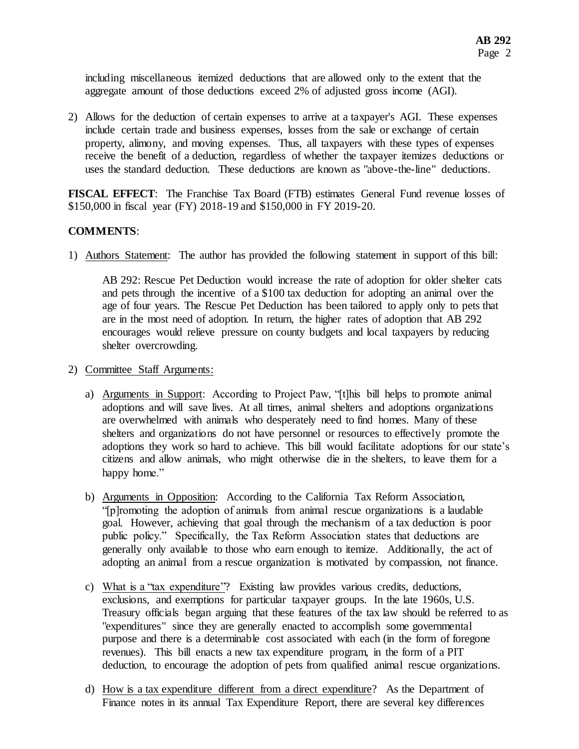including miscellaneous itemized deductions that are allowed only to the extent that the aggregate amount of those deductions exceed 2% of adjusted gross income (AGI).

2) Allows for the deduction of certain expenses to arrive at a taxpayer's AGI. These expenses include certain trade and business expenses, losses from the sale or exchange of certain property, alimony, and moving expenses. Thus, all taxpayers with these types of expenses receive the benefit of a deduction, regardless of whether the taxpayer itemizes deductions or uses the standard deduction. These deductions are known as "above-the-line" deductions.

**FISCAL EFFECT**: The Franchise Tax Board (FTB) estimates General Fund revenue losses of \$150,000 in fiscal year (FY) 2018-19 and \$150,000 in FY 2019-20.

### **COMMENTS**:

1) Authors Statement: The author has provided the following statement in support of this bill:

AB 292: Rescue Pet Deduction would increase the rate of adoption for older shelter cats and pets through the incentive of a \$100 tax deduction for adopting an animal over the age of four years. The Rescue Pet Deduction has been tailored to apply only to pets that are in the most need of adoption. In return, the higher rates of adoption that AB 292 encourages would relieve pressure on county budgets and local taxpayers by reducing shelter overcrowding.

- 2) Committee Staff Arguments:
	- a) Arguments in Support: According to Project Paw, "[t]his bill helps to promote animal adoptions and will save lives. At all times, animal shelters and adoptions organizations are overwhelmed with animals who desperately need to find homes. Many of these shelters and organizations do not have personnel or resources to effectively promote the adoptions they work so hard to achieve. This bill would facilitate adoptions for our state's citizens and allow animals, who might otherwise die in the shelters, to leave them for a happy home."
	- b) Arguments in Opposition: According to the California Tax Reform Association, "[p]romoting the adoption of animals from animal rescue organizations is a laudable goal. However, achieving that goal through the mechanism of a tax deduction is poor public policy." Specifically, the Tax Reform Association states that deductions are generally only available to those who earn enough to itemize. Additionally, the act of adopting an animal from a rescue organization is motivated by compassion, not finance.
	- c) What is a "tax expenditure"? Existing law provides various credits, deductions, exclusions, and exemptions for particular taxpayer groups. In the late 1960s, U.S. Treasury officials began arguing that these features of the tax law should be referred to as "expenditures" since they are generally enacted to accomplish some governmental purpose and there is a determinable cost associated with each (in the form of foregone revenues). This bill enacts a new tax expenditure program, in the form of a PIT deduction, to encourage the adoption of pets from qualified animal rescue organizations.
	- d) How is a tax expenditure different from a direct expenditure? As the Department of Finance notes in its annual Tax Expenditure Report, there are several key differences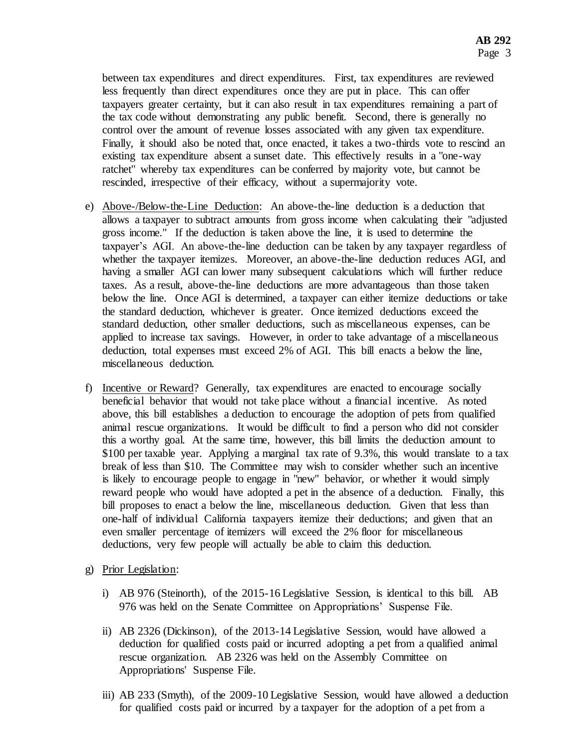between tax expenditures and direct expenditures. First, tax expenditures are reviewed less frequently than direct expenditures once they are put in place. This can offer taxpayers greater certainty, but it can also result in tax expenditures remaining a part of the tax code without demonstrating any public benefit. Second, there is generally no control over the amount of revenue losses associated with any given tax expenditure. Finally, it should also be noted that, once enacted, it takes a two-thirds vote to rescind an existing tax expenditure absent a sunset date. This effectively results in a "one-way ratchet" whereby tax expenditures can be conferred by majority vote, but cannot be rescinded, irrespective of their efficacy, without a supermajority vote.

- e) Above-/Below-the-Line Deduction: An above-the-line deduction is a deduction that allows a taxpayer to subtract amounts from gross income when calculating their "adjusted gross income." If the deduction is taken above the line, it is used to determine the taxpayer's AGI. An above-the-line deduction can be taken by any taxpayer regardless of whether the taxpayer itemizes. Moreover, an above-the-line deduction reduces AGI, and having a smaller AGI can lower many subsequent calculations which will further reduce taxes. As a result, above-the-line deductions are more advantageous than those taken below the line. Once AGI is determined, a taxpayer can either itemize deductions or take the standard deduction, whichever is greater. Once itemized deductions exceed the standard deduction, other smaller deductions, such as miscellaneous expenses, can be applied to increase tax savings. However, in order to take advantage of a miscellaneous deduction, total expenses must exceed 2% of AGI. This bill enacts a below the line, miscellaneous deduction.
- f) Incentive or Reward? Generally, tax expenditures are enacted to encourage socially beneficial behavior that would not take place without a financial incentive. As noted above, this bill establishes a deduction to encourage the adoption of pets from qualified animal rescue organizations. It would be difficult to find a person who did not consider this a worthy goal. At the same time, however, this bill limits the deduction amount to \$100 per taxable year. Applying a marginal tax rate of 9.3%, this would translate to a tax break of less than \$10. The Committee may wish to consider whether such an incentive is likely to encourage people to engage in "new" behavior, or whether it would simply reward people who would have adopted a pet in the absence of a deduction. Finally, this bill proposes to enact a below the line, miscellaneous deduction. Given that less than one-half of individual California taxpayers itemize their deductions; and given that an even smaller percentage of itemizers will exceed the 2% floor for miscellaneous deductions, very few people will actually be able to claim this deduction.
- g) Prior Legislation:
	- i) AB 976 (Steinorth), of the 2015-16 Legislative Session, is identical to this bill. AB 976 was held on the Senate Committee on Appropriations' Suspense File.
	- ii) AB 2326 (Dickinson), of the 2013-14 Legislative Session, would have allowed a deduction for qualified costs paid or incurred adopting a pet from a qualified animal rescue organization. AB 2326 was held on the Assembly Committee on Appropriations' Suspense File.
	- iii) AB 233 (Smyth), of the 2009-10 Legislative Session, would have allowed a deduction for qualified costs paid or incurred by a taxpayer for the adoption of a pet from a